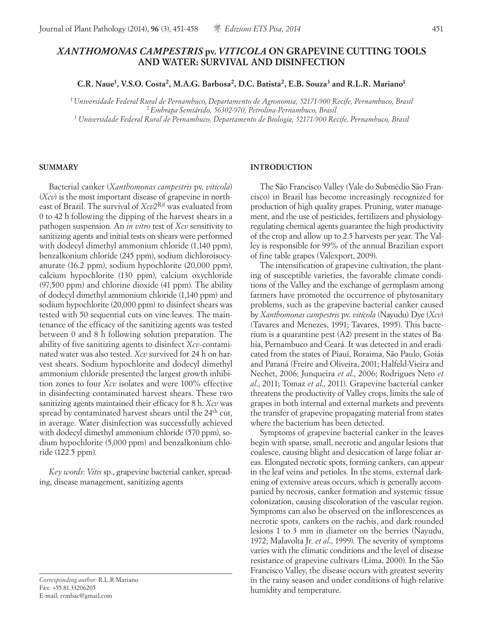# *XANTHOMONAS CAMPESTRIS* **pv.***VITICOLA* **ON GRAPEVINE CUTTING TOOLS AND WATER: SURVIVAL AND DISINFECTION**

**C.R. Naue1, V.S.O. Costa2, M.A.G. Barbosa2, D.C. Batista2, E.B. Souza3 and R.L.R. Mariano1**

*1 Universidade Federal Rural de Pernambuco, Departamento de Agronomia, 52171-900 Recife, Pernambuco, Brasil 2 Embrapa Semiárido, 56302-970, Petrolina-Pernambuco, Brasil 3 Universidade Federal Rural de Pernambuco, Departamento de Biologia, 52171-900 Recife, Pernambuco, Brasil*

#### **SUMMARY**

Bacterial canker (*Xanthomonas campestris* pv. *viticola*) (*Xcv*) is the most important disease of grapevine in northeast of Brazil. The survival of *Xcv2*Rif was evaluated from 0 to 42 h following the dipping of the harvest shears in a pathogen suspension. An *in vitro* test of *Xcv* sensitivity to sanitizing agents and initial tests on shears were performed with dodecyl dimethyl ammonium chloride (1,140 ppm), benzalkonium chloride (245 ppm), sodium dichloroisocyanurate (16.2 ppm), sodium hypochlorite (20,000 ppm), calcium hypochlorite (130 ppm), calcium oxychloride (97,500 ppm) and chlorine dioxide (41 ppm). The ability of dodecyl dimethyl ammonium chloride (1,140 ppm) and sodium hypochlorite (20,000 ppm) to disinfect shears was tested with 50 sequential cuts on vine leaves. The maintenance of the efficacy of the sanitizing agents was tested between 0 and 8 h following solution preparation. The ability of five sanitizing agents to disinfect *Xcv*-contaminated water was also tested. *Xcv* survived for 24 h on harvest shears. Sodium hypochlorite and dodecyl dimethyl ammonium chloride presented the largest growth inhibition zones to four *Xcv* isolates and were 100% effective in disinfecting contaminated harvest shears. These two sanitizing agents maintained their efficacy for 8 h. *Xcv* was spread by contaminated harvest shears until the 24<sup>th</sup> cut, in average. Water disinfection was successfully achieved with dodecyl dimethyl ammonium chloride (570 ppm), sodium hypochlorite (5,000 ppm) and benzalkonium chloride (122.5 ppm).

*Key words*: *Vitis* sp., grapevine bacterial canker, spreading, disease management, sanitizing agents

*Corresponding author:* R.L.R Mariano Fax: +55.81.33206205 E-mail: rrmbac@gmail.com

#### **INTRODUCTION**

The São Francisco Valley (Vale do Submédio São Francisco) in Brazil has become increasingly recognized for production of high quality grapes. Pruning, water management, and the use of pesticides, fertilizers and physiologyregulating chemical agents guarantee the high productivity of the crop and allow up to 2.5 harvests per year. The Valley is responsible for 99% of the annual Brazilian export of fine table grapes (Valexport, 2009).

The intensification of grapevine cultivation, the planting of susceptible varieties, the favorable climate conditions of the Valley and the exchange of germplasm among farmers have promoted the occurrence of phytosanitary problems, such as the grapevine bacterial canker caused by *Xanthomonas campestris* pv. *viticola* (Nayudu) Dye (*Xcv*) (Tavares and Menezes, 1991; Tavares, 1995). This bacterium is a quarantine pest (A2) present in the states of Bahia, Pernambuco and Ceará. It was detected in and eradicated from the states of Piauí, Roraima, São Paulo, Goiás and Paraná (Freire and Oliveira, 2001; Halfeld-Vieira and Nechet, 2006; Junqueira *et al*., 2006; Rodrigues Neto *et al*., 2011; Tomaz *et al*., 2011). Grapevine bacterial canker threatens the productivity of Valley crops, limits the sale of grapes in both internal and external markets and prevents the transfer of grapevine propagating material from states where the bacterium has been detected.

Symptoms of grapevine bacterial canker in the leaves begin with sparse, small, necrotic and angular lesions that coalesce, causing blight and desiccation of large foliar areas. Elongated necrotic spots, forming cankers, can appear in the leaf veins and petioles. In the stems, external darkening of extensive areas occurs, which is generally accompanied by necrosis, canker formation and systemic tissue colonization, causing discoloration of the vascular region. Symptoms can also be observed on the inflorescences as necrotic spots, cankers on the rachis, and dark rounded lesions 1 to 3 mm in diameter on the berries (Nayudu, 1972; Malavolta Jr. *et al*., 1999). The severity of symptoms varies with the climatic conditions and the level of disease resistance of grapevine cultivars (Lima, 2000). In the São Francisco Valley, the disease occurs with greatest severity in the rainy season and under conditions of high relative humidity and temperature.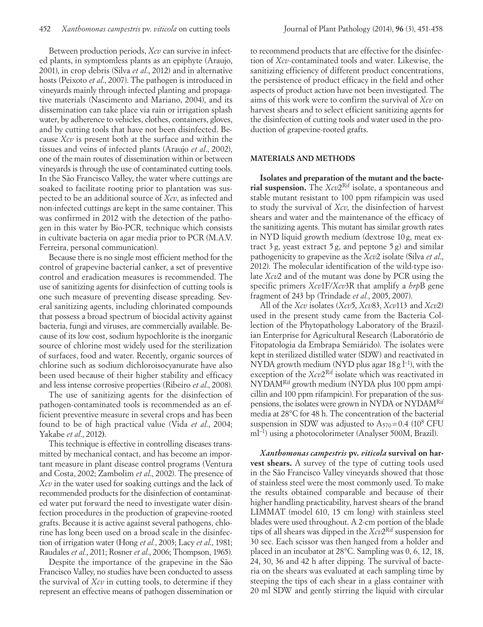Between production periods, *Xcv* can survive in infected plants, in symptomless plants as an epiphyte (Araujo, 2001), in crop debris (Silva *et al*., 2012) and in alternative hosts (Peixoto *et al*., 2007). The pathogen is introduced in vineyards mainly through infected planting and propagative materials (Nascimento and Mariano, 2004), and its dissemination can take place via rain or irrigation splash water, by adherence to vehicles, clothes, containers, gloves, and by cutting tools that have not been disinfected. Because *Xcv* is present both at the surface and within the tissues and veins of infected plants (Araujo *et al*., 2002), one of the main routes of dissemination within or between vineyards is through the use of contaminated cutting tools. In the São Francisco Valley, the water where cuttings are soaked to facilitate rooting prior to plantation was suspected to be an additional source of *Xcv*, as infected and non-infected cuttings are kept in the same container. This was confirmed in 2012 with the detection of the pathogen in this water by Bio-PCR, technique which consists in cultivate bacteria on agar media prior to PCR (M.A.V. Ferreira, personal communication).

Because there is no single most efficient method for the control of grapevine bacterial canker, a set of preventive control and eradication measures is recommended. The use of sanitizing agents for disinfection of cutting tools is one such measure of preventing disease spreading. Several sanitizing agents, including chlorinated compounds that possess a broad spectrum of biocidal activity against bacteria, fungi and viruses, are commercially available. Because of its low cost, sodium hypochlorite is the inorganic source of chlorine most widely used for the sterilization of surfaces, food and water. Recently, organic sources of chlorine such as sodium dichloroisocyanurate have also been used because of their higher stability and efficacy and less intense corrosive properties (Ribeiro *et al*., 2008).

The use of sanitizing agents for the disinfection of pathogen-contaminated tools is recommended as an efficient preventive measure in several crops and has been found to be of high practical value (Vida *et al*., 2004; Yakabe *et al*., 2012**)**.

This technique is effective in controlling diseases transmitted by mechanical contact, and has become an important measure in plant disease control programs (Ventura and Costa, 2002; Zambolim *et al*., 2002). The presence of *Xcv* in the water used for soaking cuttings and the lack of recommended products for the disinfection of contaminated water put forward the need to investigate water disinfection procedures in the production of grapevine-rooted grafts. Because it is active against several pathogens, chlorine has long been used on a broad scale in the disinfection of irrigation water (Hong *et al.*, 2003; Lacy *et al*., 1981; Raudales *et al.*, 2011; Rosner *et al*., 2006; Thompson, 1965).

Despite the importance of the grapevine in the São Francisco Valley, no studies have been conducted to assess the survival of *Xcv* in cutting tools, to determine if they represent an effective means of pathogen dissemination or

to recommend products that are effective for the disinfection of *Xcv*-contaminated tools and water. Likewise, the sanitizing efficiency of different product concentrations, the persistence of product efficacy in the field and other aspects of product action have not been investigated. The aims of this work were to confirm the survival of *Xcv* on harvest shears and to select efficient sanitizing agents for the disinfection of cutting tools and water used in the production of grapevine-rooted grafts.

## **MATERIALS AND METHODS**

**Isolates and preparation of the mutant and the bacterial suspension.** The *Xcv*2Rif isolate, a spontaneous and stable mutant resistant to 100 ppm rifampicin was used to study the survival of *Xcv*, the disinfection of harvest shears and water and the maintenance of the efficacy of the sanitizing agents. This mutant has similar growth rates in NYD liquid growth medium (dextrose 10 g, meat extract  $3 g$ , yeast extract  $5 g$ , and peptone  $5 g$ ) and similar pathogenicity to grapevine as the *Xcv*2 isolate (Silva *et al*., 2012). The molecular identification of the wild-type isolate *Xcv*2 and of the mutant was done by PCR using the specific primers *Xcv*1F/*Xcv*3R that amplify a *hrp*B gene fragment of 243 bp (Trindade *et al.*, 2005, 2007).

All of the *Xcv* isolates (*Xcv*5, *Xcv*83, *Xcv*113 and *Xcv*2) used in the present study came from the Bacteria Collection of the Phytopathology Laboratory of the Brazilian Enterprise for Agricultural Research (Laboratório de Fitopatologia da Embrapa Semiárido). The isolates were kept in sterilized distilled water (SDW) and reactivated in NYDA growth medium (NYD plus agar 18g l<sup>−1</sup>), with the exception of the *Xcv*2<sup>Rif</sup> isolate which was reactivated in NYDAMRif growth medium (NYDA plus 100 ppm ampicillin and 100 ppm rifampicin). For preparation of the suspensions, the isolates were grown in NYDA or NYDAMRif media at 28°C for 48 h. The concentration of the bacterial suspension in SDW was adjusted to  $A_{570} = 0.4$  (10<sup>8</sup> CFU ml<sup>-1</sup>) using a photocolorimeter (Analyser 500M, Brazil).

*Xanthomonas campestris* **pv.** *viticola* **survival on harvest shears.** A survey of the type of cutting tools used in the São Francisco Valley vineyards showed that those of stainless steel were the most commonly used. To make the results obtained comparable and because of their higher handling practicability, harvest shears of the brand LIMMAT (model 610, 15 cm long) with stainless steel blades were used throughout. A 2-cm portion of the blade tips of all shears was dipped in the *Xcv*2Rif suspension for 30 sec. Each scissor was then hanged from a holder and placed in an incubator at 28°C. Sampling was 0, 6, 12, 18, 24, 30, 36 and 42 h after dipping. The survival of bacteria on the shears was evaluated at each sampling time by steeping the tips of each shear in a glass container with 20 ml SDW and gently stirring the liquid with circular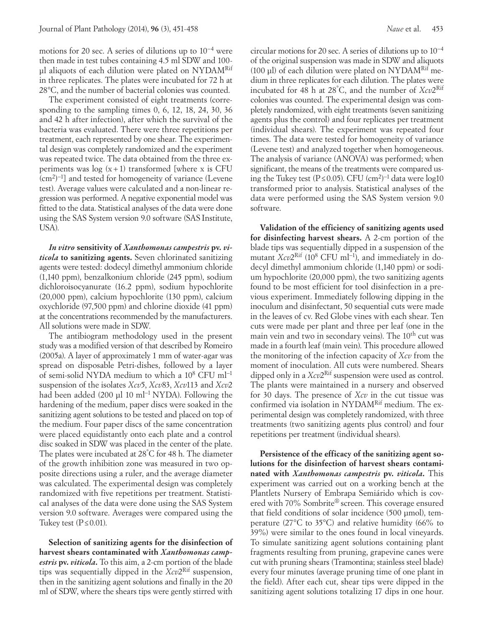motions for 20 sec. A series of dilutions up to 10−4 were then made in test tubes containing 4.5 ml SDW and 100 ul aliquots of each dilution were plated on NYDAM<sup>Rif</sup> in three replicates. The plates were incubated for 72 h at 28°C, and the number of bacterial colonies was counted.

The experiment consisted of eight treatments (corresponding to the sampling times 0, 6, 12, 18, 24, 30, 36 and 42 h after infection), after which the survival of the bacteria was evaluated. There were three repetitions per treatment, each represented by one shear. The experimental design was completely randomized and the experiment was repeated twice. The data obtained from the three experiments was  $log(x+1)$  transformed [where x is CFU] (cm<sup>2</sup>)<sup>-1</sup>] and tested for homogeneity of variance (Levene test). Average values were calculated and a non-linear regression was performed. A negative exponential model was fitted to the data. Statistical analyses of the data were done using the SAS System version 9.0 software (SAS Institute, USA).

*In vitro* **sensitivity of** *Xanthomonas campestris* **pv.** *viticola* **to sanitizing agents.** Seven chlorinated sanitizing agents were tested: dodecyl dimethyl ammonium chloride (1,140 ppm), benzalkonium chloride (245 ppm), sodium dichloroisocyanurate (16.2 ppm), sodium hypochlorite (20,000 ppm), calcium hypochlorite (130 ppm), calcium oxychloride (97,500 ppm) and chlorine dioxide (41 ppm) at the concentrations recommended by the manufacturers. All solutions were made in SDW.

The antibiogram methodology used in the present study was a modified version of that described by Romeiro (2005a). A layer of approximately 1 mm of water-agar was spread on disposable Petri-dishes, followed by a layer of semi-solid NYDA medium to which a 108 CFU ml−1 suspension of the isolates *Xcv*5, *Xcv*83, *Xcv*113 and *Xcv*2 had been added (200 µl 10 ml−1 NYDA). Following the hardening of the medium, paper discs were soaked in the sanitizing agent solutions to be tested and placed on top of the medium. Four paper discs of the same concentration were placed equidistantly onto each plate and a control disc soaked in SDW was placed in the center of the plate. The plates were incubated at 28° C for 48 h. The diameter of the growth inhibition zone was measured in two opposite directions using a ruler, and the average diameter was calculated. The experimental design was completely randomized with five repetitions per treatment. Statistical analyses of the data were done using the SAS System version 9.0 software. Averages were compared using the Tukey test ( $P \le 0.01$ ).

**Selection of sanitizing agents for the disinfection of harvest shears contaminated with** *Xanthomonas campestris* **pv.** *viticola***.** To this aim, a 2-cm portion of the blade tips was sequentially dipped in the *Xcv*2Rif suspension, then in the sanitizing agent solutions and finally in the 20 ml of SDW, where the shears tips were gently stirred with circular motions for 20 sec. A series of dilutions up to 10−4 of the original suspension was made in SDW and aliquots (100 μl) of each dilution were plated on  $NYDAM<sup>Rif</sup>$  medium in three replicates for each dilution. The plates were incubated for 48 h at 28° C, and the number of *Xcv*2Rif colonies was counted. The experimental design was completely randomized, with eight treatments (seven sanitizing agents plus the control) and four replicates per treatment (individual shears). The experiment was repeated four times. The data were tested for homogeneity of variance (Levene test) and analyzed together when homogeneous. The analysis of variance (ANOVA) was performed; when significant, the means of the treatments were compared using the Tukey test (P≤0.05). CFU (cm<sup>2</sup>)<sup>-1</sup> data were log10 transformed prior to analysis. Statistical analyses of the data were performed using the SAS System version 9.0 software.

**Validation of the efficiency of sanitizing agents used for disinfecting harvest shears.** A 2-cm portion of the blade tips was sequentially dipped in a suspension of the mutant *Xcv*2<sup>Rif</sup> (10<sup>8</sup> CFU ml<sup>−1</sup>), and immediately in dodecyl dimethyl ammonium chloride (1,140 ppm) or sodium hypochlorite (20,000 ppm), the two sanitizing agents found to be most efficient for tool disinfection in a previous experiment. Immediately following dipping in the inoculum and disinfectant, 50 sequential cuts were made in the leaves of cv. Red Globe vines with each shear. Ten cuts were made per plant and three per leaf (one in the main vein and two in secondary veins). The 10<sup>th</sup> cut was made in a fourth leaf (main vein). This procedure allowed the monitoring of the infection capacity of *Xcv* from the moment of inoculation. All cuts were numbered. Shears dipped only in a *Xcv*2Rif suspension were used as control. The plants were maintained in a nursery and observed for 30 days. The presence of *Xcv* in the cut tissue was confirmed via isolation in NYDAM<sup>Rif</sup> medium. The experimental design was completely randomized, with three treatments (two sanitizing agents plus control) and four repetitions per treatment (individual shears).

**Persistence of the efficacy of the sanitizing agent solutions for the disinfection of harvest shears contaminated with** *Xanthomonas campestris* **pv.** *viticola***.** This experiment was carried out on a working bench at the Plantlets Nursery of Embrapa Semiárido which is covered with 70% Sombrite® screen. This coverage ensured that field conditions of solar incidence (500 µmol), temperature (27°C to 35°C) and relative humidity (66% to 39%) were similar to the ones found in local vineyards. To simulate sanitizing agent solutions containing plant fragments resulting from pruning, grapevine canes were cut with pruning shears (Tramontina; stainless steel blade) every four minutes (average pruning time of one plant in the field). After each cut, shear tips were dipped in the sanitizing agent solutions totalizing 17 dips in one hour.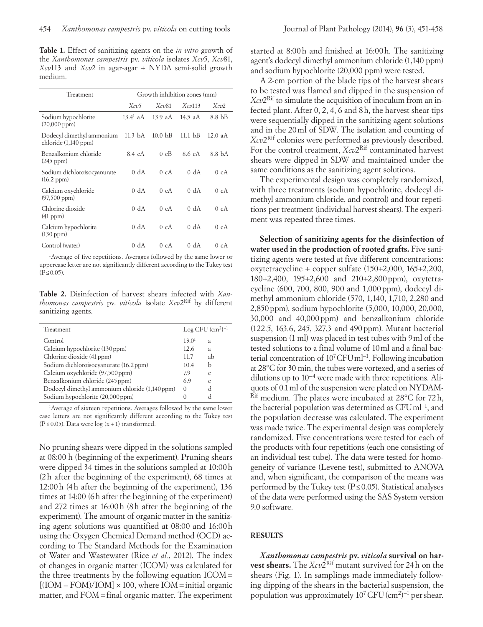**Table 1.** Effect of sanitizing agents on the *in vitro* growth of the *Xanthomonas campestris* pv. *viticola* isolates *Xcv*5, *Xcv*81, *Xcv*113 and *Xcv2* in agar-agar + NYDA semi-solid growth medium.

| Treatment                                              | Growth inhibition zones (mm) |                    |                   |                  |
|--------------------------------------------------------|------------------------------|--------------------|-------------------|------------------|
|                                                        | $Xc\mathcal{D}$              | $Xc\nu 81$         | $Xcv$ 113         | Xc <sub>v2</sub> |
| Sodium hypochlorite<br>$(20,000~\text{ppm})$           | $13.4^1$ aA                  | 13.9 $aA$          | $14.5$ aA         | 8.8 bB           |
| Dodecyl dimethyl ammonium<br>chloride $(1,140$ ppm $)$ | $11.3 \text{ bA}$            | 10.0 <sub>bB</sub> | $11.1 \text{ bB}$ | $12.0$ aA        |
| Benzalkonium chloride<br>$(245$ ppm $)$                | 8.4 cA                       | $0 \text{ cB}$     | 8.6 cA            | 8.8 bA           |
| Sodium dichloroisocyanurate<br>(16.2~ppm)              | 0 dA                         | 0cA                | 0 dA              | 0cA              |
| Calcium oxychloride<br>$(97,500 \text{ ppm})$          | 0 dA                         | 0cA                | 0 dA              | 0cA              |
| Chlorine dioxide<br>$(41$ ppm $)$                      | 0 dA                         | 0cA                | 0 dA              | 0cA              |
| Calcium hypochlorite<br>$(130 \text{ ppm})$            | 0 dA                         | 0cA                | 0 dA              | 0cA              |
| Control (water)                                        | 0 dA                         | 0cA                | 0 dA              | 0cA              |

1Average of five repetitions. Averages followed by the same lower or uppercase letter are not significantly different according to the Tukey test  $(P ≤ 0.05)$ .

**Table 2.** Disinfection of harvest shears infected with *Xanthomonas campestris* pv. *viticola* isolate *Xcv*2Rif by different sanitizing agents.

| Treatment                                      | $\text{Log CFU (cm}^2)^{-1}$ |               |
|------------------------------------------------|------------------------------|---------------|
| Control                                        | 13.0 <sup>1</sup>            | a             |
| Calcium hypochlorite (130 ppm)                 | 12.6                         | a             |
| Chlorine dioxide (41 ppm)                      | 11.7                         | ab            |
| Sodium dichloroisocyanurate (16.2 ppm)         | 10.4                         | h             |
| Calcium oxychloride (97,500 ppm)               | 7.9                          | $\mathcal{C}$ |
| Benzalkonium chloride (245 ppm)                | 6.9                          | $\mathcal{C}$ |
| Dodecyl dimethyl ammonium chloride (1,140 ppm) | $\Omega$                     | d             |
| Sodium hypochlorite (20,000 ppm)               |                              |               |

1Average of sixteen repetitions. Averages followed by the same lower case letters are not significantly different according to the Tukey test (P*≤*0.05). Data were log (x+1) transformed.

No pruning shears were dipped in the solutions sampled at 08:00 h (beginning of the experiment). Pruning shears were dipped 34 times in the solutions sampled at 10:00h (2h after the beginning of the experiment), 68 times at 12:00h (4h after the beginning of the experiment), 136 times at 14:00 (6h after the beginning of the experiment) and 272 times at 16:00h (8h after the beginning of the experiment). The amount of organic matter in the sanitizing agent solutions was quantified at 08:00 and 16:00h using the Oxygen Chemical Demand method (OCD) according to The Standard Methods for the Examination of Water and Wastewater (Rice *et al.*, 2012). The index of changes in organic matter (ICOM) was calculated for the three treatments by the following equation ICOM=  $[(IOM - FOM)/IOM] \times 100$ , where  $IOM = initial organic$ matter, and FOM=final organic matter. The experiment started at 8:00h and finished at 16:00h. The sanitizing agent's dodecyl dimethyl ammonium chloride (1,140 ppm) and sodium hypochlorite (20,000 ppm) were tested.

A 2-cm portion of the blade tips of the harvest shears to be tested was flamed and dipped in the suspension of *Xcv*2Rif to simulate the acquisition of inoculum from an infected plant. After 0, 2, 4, 6 and 8h, the harvest shear tips were sequentially dipped in the sanitizing agent solutions and in the 20ml of SDW. The isolation and counting of *Xcv*2Rif colonies were performed as previously described. For the control treatment, *Xcv*2<sup>Rif</sup> contaminated harvest shears were dipped in SDW and maintained under the same conditions as the sanitizing agent solutions.

The experimental design was completely randomized, with three treatments (sodium hypochlorite, dodecyl dimethyl ammonium chloride, and control) and four repetitions per treatment (individual harvest shears). The experiment was repeated three times.

**Selection of sanitizing agents for the disinfection of water used in the production of rooted grafts.** Five sanitizing agents were tested at five different concentrations: oxytetracycline + copper sulfate (150+2,000, 165+2,200, 180+2,400, 195+2,600 and 210+2,800ppm), oxytetracycline (600, 700, 800, 900 and 1,000ppm), dodecyl dimethyl ammonium chloride (570, 1,140, 1,710, 2,280 and 2,850ppm), sodium hypochlorite (5,000, 10,000, 20,000, 30,000 and 40,000ppm) and benzalkonium chloride (122.5, 163.6, 245, 327.3 and 490ppm). Mutant bacterial suspension (1 ml) was placed in test tubes with 9ml of the tested solutions to a final volume of 10ml and a final bacterial concentration of 107CFUml−1. Following incubation at 28°C for 30 min, the tubes were vortexed, and a series of dilutions up to 10−4 were made with three repetitions. Aliquots of 0.1ml of the suspension were plated on NYDAM-  $Rif$  medium. The plates were incubated at 28 $^{\circ}$ C for 72h, the bacterial population was determined as CFUml−1, and the population decrease was calculated. The experiment was made twice. The experimental design was completely randomized. Five concentrations were tested for each of the products with four repetitions (each one consisting of an individual test tube). The data were tested for homogeneity of variance (Levene test), submitted to ANOVA and, when significant, the comparison of the means was performed by the Tukey test ( $P \le 0.05$ ). Statistical analyses of the data were performed using the SAS System version 9.0 software.

## **RESULTS**

*Xanthomonas campestris* **pv.** *viticola* **survival on harvest shears.** The  $Xcv2^R$ <sup>Rif</sup> mutant survived for 24h on the shears (Fig. 1). In samplings made immediately following dipping of the shears in the bacterial suspension, the population was approximately  $10^7$  CFU (cm<sup>2</sup>)<sup>-1</sup> per shear.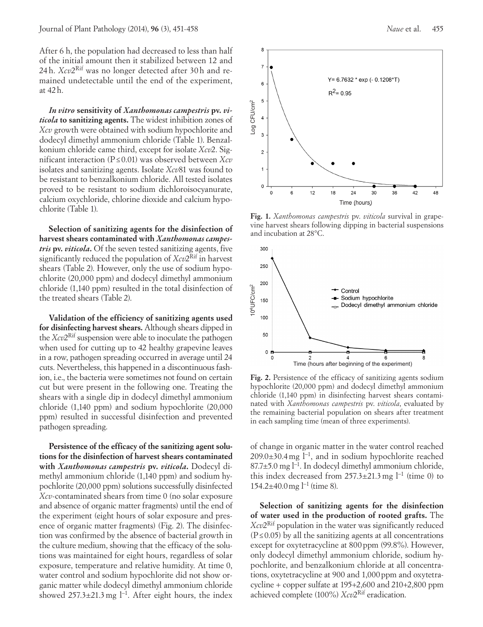After 6 h, the population had decreased to less than half of the initial amount then it stabilized between 12 and 24 h. *Xcv*2Rif was no longer detected after 30 h and remained undetectable until the end of the experiment, at 42 h.

*In vitro* **sensitivity of** *Xanthomonas campestris* **pv.** *viticola* **to sanitizing agents.** The widest inhibition zones of *Xcv* growth were obtained with sodium hypochlorite and dodecyl dimethyl ammonium chloride (Table 1). Benzalkonium chloride came third, except for isolate *Xcv*2. Significant interaction (P≤ 0.01) was observed between *Xcv* isolates and sanitizing agents. Isolate *Xcv*81 was found to be resistant to benzalkonium chloride. All tested isolates proved to be resistant to sodium dichloroisocyanurate, calcium oxychloride, chlorine dioxide and calcium hypochlorite (Table 1).

**Selection of sanitizing agents for the disinfection of harvest shears contaminated with** *Xanthomonas campestris* **pv.** *viticola***.** Of the seven tested sanitizing agents, five significantly reduced the population of *Xcv*2Rif in harvest shears (Table 2). However, only the use of sodium hypochlorite (20,000 ppm) and dodecyl dimethyl ammonium chloride (1,140 ppm) resulted in the total disinfection of the treated shears (Table 2).

**Validation of the efficiency of sanitizing agents used for disinfecting harvest shears.** Although shears dipped in the *Xcv*2Rif suspension were able to inoculate the pathogen when used for cutting up to 42 healthy grapevine leaves in a row, pathogen spreading occurred in average until 24 cuts. Nevertheless, this happened in a discontinuous fashion, i.e., the bacteria were sometimes not found on certain cut but were present in the following one. Treating the shears with a single dip in dodecyl dimethyl ammonium chloride (1,140 ppm) and sodium hypochlorite (20,000 ppm) resulted in successful disinfection and prevented pathogen spreading.

**Persistence of the efficacy of the sanitizing agent solutions for the disinfection of harvest shears contaminated with** *Xanthomonas campestris* **pv.** *viticola***.** Dodecyl dimethyl ammonium chloride (1,140 ppm) and sodium hypochlorite (20,000 ppm) solutions successfully disinfected *Xcv*-contaminated shears from time 0 (no solar exposure and absence of organic matter fragments) until the end of the experiment (eight hours of solar exposure and presence of organic matter fragments) (Fig. 2). The disinfection was confirmed by the absence of bacterial growth in the culture medium, showing that the efficacy of the solutions was maintained for eight hours, regardless of solar exposure, temperature and relative humidity. At time 0, water control and sodium hypochlorite did not show organic matter while dodecyl dimethyl ammonium chloride showed  $257.3\pm21.3$  mg l<sup>-1</sup>. After eight hours, the index



**Fig. 1.** *Xanthomonas campestris* pv. *viticola* survival in grapevine harvest shears following dipping in bacterial suspensions and incubation at 28°C.



**Fig. 2.** Persistence of the efficacy of sanitizing agents sodium hypochlorite (20,000 ppm) and dodecyl dimethyl ammonium chloride (1,140 ppm) in disinfecting harvest shears contaminated with *Xanthomonas campestris* pv. *viticola*, evaluated by the remaining bacterial population on shears after treatment in each sampling time (mean of three experiments).

of change in organic matter in the water control reached 209.0±30.4mg l−1, and in sodium hypochlorite reached 87.7±5.0 mg l−1. In dodecyl dimethyl ammonium chloride, this index decreased from  $257.3\pm21.3$  mg l<sup>-1</sup> (time 0) to 154.2±40.0mg l−1 (time 8).

**Selection of sanitizing agents for the disinfection of water used in the production of rooted grafts.** The *Xcv*2Rif population in the water was significantly reduced  $(P \le 0.05)$  by all the sanitizing agents at all concentrations except for oxytetracycline at 800 ppm (99.8%). However, only dodecyl dimethyl ammonium chloride, sodium hypochlorite, and benzalkonium chloride at all concentrations, oxytetracycline at 900 and 1,000 ppm and oxytetracycline + copper sulfate at 195+2,600 and 210+2,800 ppm achieved complete (100%) *Xcv*2Rif eradication.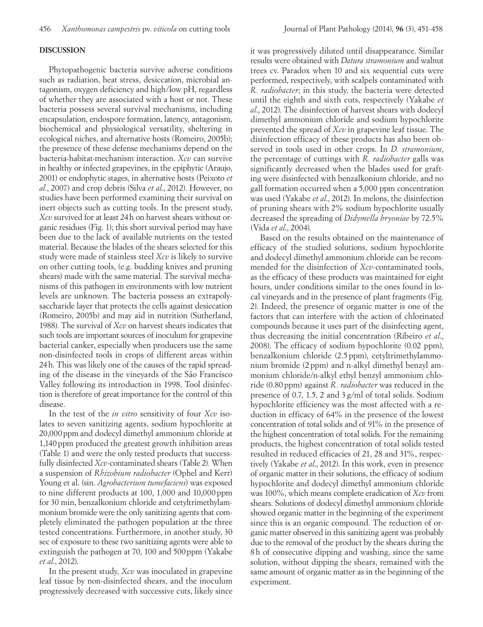### **DISCUSSION**

Phytopathogenic bacteria survive adverse conditions such as radiation, heat stress, desiccation, microbial antagonism, oxygen deficiency and high/low pH, regardless of whether they are associated with a host or not. These bacteria possess several survival mechanisms, including encapsulation, endospore formation, latency, antagonism, biochemical and physiological versatility, sheltering in ecological niches, and alternative hosts (Romeiro, 2005b); the presence of these defense mechanisms depend on the bacteria-habitat-mechanism interaction. *Xcv* can survive in healthy or infected grapevines, in the epiphytic (Araujo, 2001) or endophytic stages, in alternative hosts (Peixoto *et al.*, 2007) and crop debris (Silva *et al*., 2012). However, no studies have been performed examining their survival on inert objects such as cutting tools. In the present study, *Xcv* survived for at least 24h on harvest shears without organic residues (Fig. 1); this short survival period may have been due to the lack of available nutrients on the tested material. Because the blades of the shears selected for this study were made of stainless steel *Xcv* is likely to survive on other cutting tools, (e.g. budding knives and pruning shears) made with the same material. The survival mechanisms of this pathogen in environments with low nutrient levels are unknown. The bacteria possess an extrapolysaccharide layer that protects the cells against desiccation (Romeiro, 2005b) and may aid in nutrition (Sutherland, 1988). The survival of *Xcv* on harvest shears indicates that such tools are important sources of inoculum for grapevine bacterial canker, especially when producers use the same non-disinfected tools in crops of different areas within 24h. This was likely one of the causes of the rapid spreading of the disease in the vineyards of the São Francisco Valley following its introduction in 1998. Tool disinfection is therefore of great importance for the control of this disease.

In the test of the *in vitro* sensitivity of four *Xcv* isolates to seven sanitizing agents, sodium hypochlorite at 20,000ppm and dodecyl dimethyl ammonium chloride at 1,140ppm produced the greatest growth inhibition areas (Table 1) and were the only tested products that successfully disinfected *Xcv*-contaminated shears (Table 2)*.* When a suspension of *Rhizobium radiobacter* (Ophel and Kerr) Young et al. (sin. *Agrobacterium tumefaciens*) was exposed to nine different products at  $100$ ,  $1,000$  and  $10,000$  ppm for 30 min, benzalkonium chloride and cetyltrimethylammonium bromide were the only sanitizing agents that completely eliminated the pathogen population at the three tested concentrations. Furthermore, in another study, 30 sec of exposure to these two sanitizing agents were able to extinguish the pathogen at 70, 100 and 500 ppm (Yakabe *et al*., 2012).

In the present study, *Xcv* was inoculated in grapevine leaf tissue by non-disinfected shears, and the inoculum progressively decreased with successive cuts, likely since it was progressively diluted until disappearance. Similar results were obtained with *Datura stramonium* and walnut trees cv. Paradox when 10 and six sequential cuts were performed, respectively, with scalpels contaminated with *R. radiobacter*; in this study, the bacteria were detected until the eighth and sixth cuts, respectively (Yakabe *et al*., 2012). The disinfection of harvest shears with dodecyl dimethyl ammonium chloride and sodium hypochlorite prevented the spread of *Xcv* in grapevine leaf tissue. The disinfection efficacy of these products has also been observed in tools used in other crops. In *D. stramonium*, the percentage of cuttings with *R. radiobacter* galls was significantly decreased when the blades used for grafting were disinfected with benzalkonium chloride, and no gall formation occurred when a 5,000 ppm concentration was used (Yakabe *et al*., 2012). In melons, the disinfection of pruning shears with 2% sodium hypochlorite usually decreased the spreading of *Didymella bryoniae* by 72.5% (Vida *et al*., 2004).

Based on the results obtained on the maintenance of efficacy of the studied solutions, sodium hypochlorite and dodecyl dimethyl ammonium chloride can be recommended for the disinfection of *Xcv*-contaminated tools, as the efficacy of these products was maintained for eight hours, under conditions similar to the ones found in local vineyards and in the presence of plant fragments (Fig. 2). Indeed, the presence of organic matter is one of the factors that can interfere with the action of chlorinated compounds because it uses part of the disinfecting agent, thus decreasing the initial concentration (Ribeiro *et al*., 2008). The efficacy of sodium hypochlorite (0.02 ppm), benzalkonium chloride (2.5 ppm), cetyltrimethylammonium bromide (2ppm) and n-alkyl dimethyl benzyl ammonium chloride/n-alkyl ethyl benzyl ammonium chloride (0.80ppm) against *R. radiobacter* was reduced in the presence of 0.7, 1.5, 2 and 3 g/ml of total solids. Sodium hypochlorite efficiency was the most affected with a reduction in efficacy of 64% in the presence of the lowest concentration of total solids and of 91% in the presence of the highest concentration of total solids. For the remaining products, the highest concentration of total solids tested resulted in reduced efficacies of 21, 28 and 31%, respectively (Yakabe *et al*., 2012). In this work, even in presence of organic matter in their solutions, the efficacy of sodium hypochlorite and dodecyl dimethyl ammonium chloride was 100%, which means complete eradication of *Xcv* from shears. Solutions of dodecyl dimethyl ammonium chloride showed organic matter in the beginning of the experiment since this is an organic compound. The reduction of organic matter observed in this sanitizing agent was probably due to the removal of the product by the shears during the 8h of consecutive dipping and washing, since the same solution, without dipping the shears, remained with the same amount of organic matter as in the beginning of the experiment.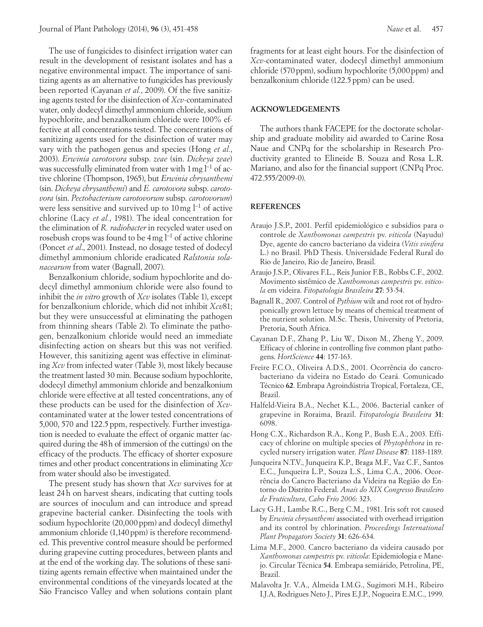The use of fungicides to disinfect irrigation water can result in the development of resistant isolates and has a negative environmental impact. The importance of sanitizing agents as an alternative to fungicides has previously been reported (Cayanan *et al.*, 2009). Of the five sanitizing agents tested for the disinfection of *Xcv*-contaminated water, only dodecyl dimethyl ammonium chloride, sodium hypochlorite, and benzalkonium chloride were 100% effective at all concentrations tested. The concentrations of sanitizing agents used for the disinfection of water may vary with the pathogen genus and species (Hong *et al.*, 2003). *Erwinia carotovora* subsp. *zeae* (sin. *Dickeya zeae*) was successfully eliminated from water with 1 mg l<sup>-1</sup> of active chlorine (Thompson, 1965), but *Erwinia chrysanthemi* (sin. *Dickeya chrysanthemi*) and *E. carotovora* subsp. *carotovora* (sin. *Pectobacterium carotovorum* subsp. *carotovorum*) were less sensitive and survived up to 10 mg l<sup>-1</sup> of active chlorine (Lacy *et al.*, 1981). The ideal concentration for the elimination of *R. radiobacter* in recycled water used on rosebush crops was found to be 4mg l−1 of active chlorine (Poncet *et al*., 2001). Instead, no dosage tested of dodecyl dimethyl ammonium chloride eradicated *Ralstonia solanacearum* from water (Bagnall, 2007).

Benzalkonium chloride, sodium hypochlorite and dodecyl dimethyl ammonium chloride were also found to inhibit the *in vitro* growth of *Xcv* isolates (Table 1), except for benzalkonium chloride, which did not inhibit *Xcv*81; but they were unsuccessful at eliminating the pathogen from thinning shears (Table 2). To eliminate the pathogen, benzalkonium chloride would need an immediate disinfecting action on shears but this was not verified. However, this sanitizing agent was effective in eliminating *Xcv* from infected water (Table 3), most likely because the treatment lasted 30 min. Because sodium hypochlorite, dodecyl dimethyl ammonium chloride and benzalkonium chloride were effective at all tested concentrations, any of these products can be used for the disinfection of *Xcv*contaminated water at the lower tested concentrations of 5,000, 570 and 122.5ppm, respectively. Further investigation is needed to evaluate the effect of organic matter (acquired during the 48h of immersion of the cuttings) on the efficacy of the products. The efficacy of shorter exposure times and other product concentrations in eliminating *Xcv* from water should also be investigated.

The present study has shown that *Xcv* survives for at least 24h on harvest shears, indicating that cutting tools are sources of inoculum and can introduce and spread grapevine bacterial canker. Disinfecting the tools with sodium hypochlorite (20,000 ppm) and dodecyl dimethyl ammonium chloride (1,140 ppm) is therefore recommended. This preventive control measure should be performed during grapevine cutting procedures, between plants and at the end of the working day. The solutions of these sanitizing agents remain effective when maintained under the environmental conditions of the vineyards located at the São Francisco Valley and when solutions contain plant

fragments for at least eight hours. For the disinfection of *Xcv*-contaminated water, dodecyl dimethyl ammonium chloride (570 ppm), sodium hypochlorite (5,000 ppm) and benzalkonium chloride (122.5 ppm) can be used.

### **ACKNOWLEDGEMENTS**

The authors thank FACEPE for the doctorate scholarship and graduate mobility aid awarded to Carine Rosa Naue and CNPq for the scholarship in Research Productivity granted to Elineide B. Souza and Rosa L.R. Mariano, and also for the financial support (CNPq Proc. 472.555/2009-0).

### **REFERENCES**

- Araujo J.S.P., 2001. Perfil epidemiológico e subsídios para o controle de *Xanthomonas campestris* pv. *viticola* (Nayudu) Dye, agente do cancro bacteriano da videira (*Vitis vinifera* L.) no Brasil. PhD Thesis. Universidade Federal Rural do Rio de Janeiro, Rio de Janeiro, Brasil.
- Araujo J.S.P., Olivares F.L., Reis Junior F.B., Robbs C.F., 2002. Movimento sistêmico de *Xanthomonas campestris* pv. *viticola* em videira. *Fitopatologia Brasileira* **27**: 53-54.
- Bagnall R., 2007. Control of *Pythium* wilt and root rot of hydroponically grown lettuce by means of chemical treatment of the nutrient solution. M.Sc. Thesis, University of Pretoria, Pretoria, South Africa.
- Cayanan D.F., Zhang P., Liu W., Dixon M., Zheng Y., 2009. Efficacy of chlorine in controlling five common plant pathogens. *HortScience* **44**: 157-163.
- Freire F.C.O., Oliveira A.D.S., 2001. Ocorrência do cancrobacteriano da videira no Estado do Ceará. Comunicado Técnico **62**. Embrapa Agroindústria Tropical, Fortaleza, CE, Brazil.
- Halfeld-Vieira B.A., Nechet K.L., 2006. Bacterial canker of grapevine in Roraima, Brazil. *Fitopatologia Brasileira* **31**: 6098.
- Hong C.X., Richardson R.A., Kong P., Bush E.A., 2003. Efficacy of chlorine on multiple species of *Phytophthora* in recycled nursery irrigation water. *Plant Disease* **87**: 1183-1189.
- Junqueira N.T.V., Junqueira K.P., Braga M.F., Vaz C.F., Santos E.C., Junqueira L.P., Souza L.S., Lima C.A., 2006. Ocorrência do Cancro Bacteriano da Videira na Região do Entorno do Distrito Federal. *Anais do XIX Congresso Brasileiro de Fruticultura*, *Cabo Frio 2006*: 323.
- Lacy G.H., Lambe R.C., Berg C.M., 1981. Iris soft rot caused by *Erwinia chrysanthemi* associated with overhead irrigation and its control by chlorination. *Proceedings International Plant Propagators Society* **31**: 626-634.
- Lima M.F., 2000. Cancro bacteriano da videira causado por *Xanthomonas campestris* pv. *viticola*: Epidemiologia e Manejo. Circular Técnica **54**. Embrapa semiárido, Petrolina, PE, Brazil.
- Malavolta Jr. V.A., Almeida I.M.G., Sugimori M.H., Ribeiro I.J.A, Rodrigues Neto J., Pires E.J.P., Nogueira E.M.C., 1999.